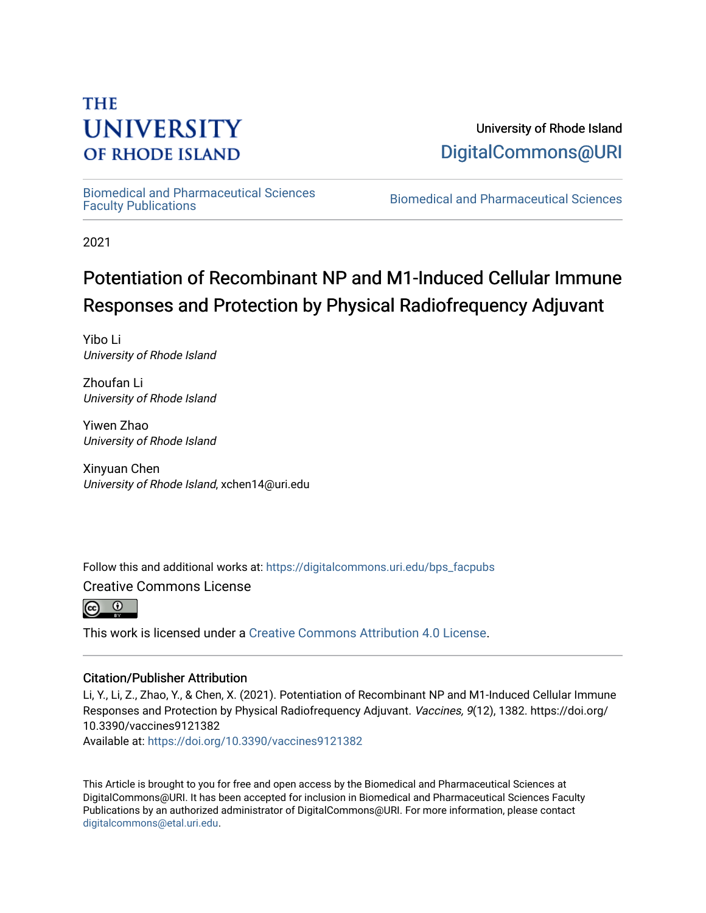# **THE UNIVERSITY OF RHODE ISLAND**

University of Rhode Island [DigitalCommons@URI](https://digitalcommons.uri.edu/) 

[Biomedical and Pharmaceutical Sciences](https://digitalcommons.uri.edu/bps_facpubs) 

Biomedical and Pharmaceutical Sciences

2021

# Potentiation of Recombinant NP and M1-Induced Cellular Immune Responses and Protection by Physical Radiofrequency Adjuvant

Yibo Li University of Rhode Island

Zhoufan Li University of Rhode Island

Yiwen Zhao University of Rhode Island

Xinyuan Chen University of Rhode Island, xchen14@uri.edu

Follow this and additional works at: [https://digitalcommons.uri.edu/bps\\_facpubs](https://digitalcommons.uri.edu/bps_facpubs?utm_source=digitalcommons.uri.edu%2Fbps_facpubs%2F231&utm_medium=PDF&utm_campaign=PDFCoverPages)

Creative Commons License



This work is licensed under a [Creative Commons Attribution 4.0 License](https://creativecommons.org/licenses/by/4.0/).

# Citation/Publisher Attribution

Li, Y., Li, Z., Zhao, Y., & Chen, X. (2021). Potentiation of Recombinant NP and M1-Induced Cellular Immune Responses and Protection by Physical Radiofrequency Adjuvant. Vaccines, 9(12), 1382. https://doi.org/ 10.3390/vaccines9121382

Available at:<https://doi.org/10.3390/vaccines9121382>

This Article is brought to you for free and open access by the Biomedical and Pharmaceutical Sciences at DigitalCommons@URI. It has been accepted for inclusion in Biomedical and Pharmaceutical Sciences Faculty Publications by an authorized administrator of DigitalCommons@URI. For more information, please contact [digitalcommons@etal.uri.edu](mailto:digitalcommons@etal.uri.edu).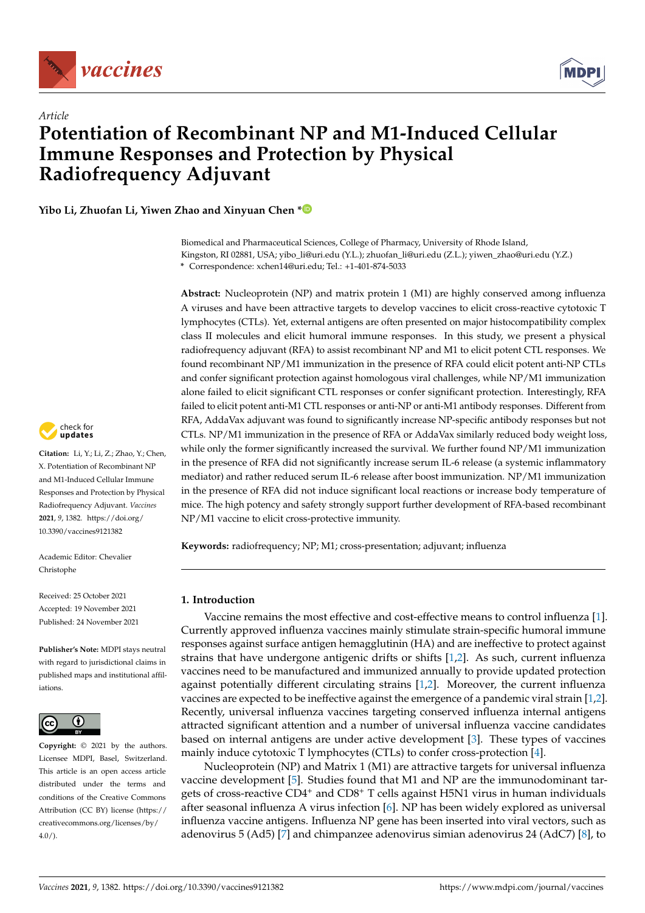

*Article*



# **Potentiation of Recombinant NP and M1-Induced Cellular Immune Responses and Protection by Physical Radiofrequency Adjuvant**

**Yibo Li, Zhuofan Li, Yiwen Zhao and Xinyuan Chen [\\*](https://orcid.org/0000-0003-4735-3922)**

Biomedical and Pharmaceutical Sciences, College of Pharmacy, University of Rhode Island, Kingston, RI 02881, USA; yibo\_li@uri.edu (Y.L.); zhuofan\_li@uri.edu (Z.L.); yiwen\_zhao@uri.edu (Y.Z.) **\*** Correspondence: xchen14@uri.edu; Tel.: +1-401-874-5033

**Abstract:** Nucleoprotein (NP) and matrix protein 1 (M1) are highly conserved among influenza A viruses and have been attractive targets to develop vaccines to elicit cross-reactive cytotoxic T lymphocytes (CTLs). Yet, external antigens are often presented on major histocompatibility complex class II molecules and elicit humoral immune responses. In this study, we present a physical radiofrequency adjuvant (RFA) to assist recombinant NP and M1 to elicit potent CTL responses. We found recombinant NP/M1 immunization in the presence of RFA could elicit potent anti-NP CTLs and confer significant protection against homologous viral challenges, while NP/M1 immunization alone failed to elicit significant CTL responses or confer significant protection. Interestingly, RFA failed to elicit potent anti-M1 CTL responses or anti-NP or anti-M1 antibody responses. Different from RFA, AddaVax adjuvant was found to significantly increase NP-specific antibody responses but not CTLs. NP/M1 immunization in the presence of RFA or AddaVax similarly reduced body weight loss, while only the former significantly increased the survival. We further found NP/M1 immunization in the presence of RFA did not significantly increase serum IL-6 release (a systemic inflammatory mediator) and rather reduced serum IL-6 release after boost immunization. NP/M1 immunization in the presence of RFA did not induce significant local reactions or increase body temperature of mice. The high potency and safety strongly support further development of RFA-based recombinant NP/M1 vaccine to elicit cross-protective immunity.

**Keywords:** radiofrequency; NP; M1; cross-presentation; adjuvant; influenza

## **1. Introduction**

Vaccine remains the most effective and cost-effective means to control influenza [\[1\]](#page-10-0). Currently approved influenza vaccines mainly stimulate strain-specific humoral immune responses against surface antigen hemagglutinin (HA) and are ineffective to protect against strains that have undergone antigenic drifts or shifts [\[1,](#page-10-0)[2\]](#page-10-1). As such, current influenza vaccines need to be manufactured and immunized annually to provide updated protection against potentially different circulating strains [\[1,](#page-10-0)[2\]](#page-10-1). Moreover, the current influenza vaccines are expected to be ineffective against the emergence of a pandemic viral strain [\[1](#page-10-0)[,2\]](#page-10-1). Recently, universal influenza vaccines targeting conserved influenza internal antigens attracted significant attention and a number of universal influenza vaccine candidates based on internal antigens are under active development [\[3\]](#page-10-2). These types of vaccines mainly induce cytotoxic T lymphocytes (CTLs) to confer cross-protection [\[4\]](#page-10-3).

Nucleoprotein (NP) and Matrix 1 (M1) are attractive targets for universal influenza vaccine development [\[5\]](#page-10-4). Studies found that M1 and NP are the immunodominant targets of cross-reactive CD4<sup>+</sup> and CD8<sup>+</sup> T cells against H5N1 virus in human individuals after seasonal influenza A virus infection [\[6\]](#page-10-5). NP has been widely explored as universal influenza vaccine antigens. Influenza NP gene has been inserted into viral vectors, such as adenovirus 5 (Ad5) [\[7\]](#page-10-6) and chimpanzee adenovirus simian adenovirus 24 (AdC7) [\[8\]](#page-10-7), to



**Citation:** Li, Y.; Li, Z.; Zhao, Y.; Chen, X. Potentiation of Recombinant NP and M1-Induced Cellular Immune Responses and Protection by Physical Radiofrequency Adjuvant. *Vaccines* **2021**, *9*, 1382. [https://doi.org/](https://doi.org/10.3390/vaccines9121382) [10.3390/vaccines9121382](https://doi.org/10.3390/vaccines9121382)

Academic Editor: Chevalier Christophe

Received: 25 October 2021 Accepted: 19 November 2021 Published: 24 November 2021

**Publisher's Note:** MDPI stays neutral with regard to jurisdictional claims in published maps and institutional affiliations.



**Copyright:** © 2021 by the authors. Licensee MDPI, Basel, Switzerland. This article is an open access article distributed under the terms and conditions of the Creative Commons Attribution (CC BY) license (https:/[/](https://creativecommons.org/licenses/by/4.0/) [creativecommons.org/licenses/by/](https://creativecommons.org/licenses/by/4.0/)  $4.0/$ ).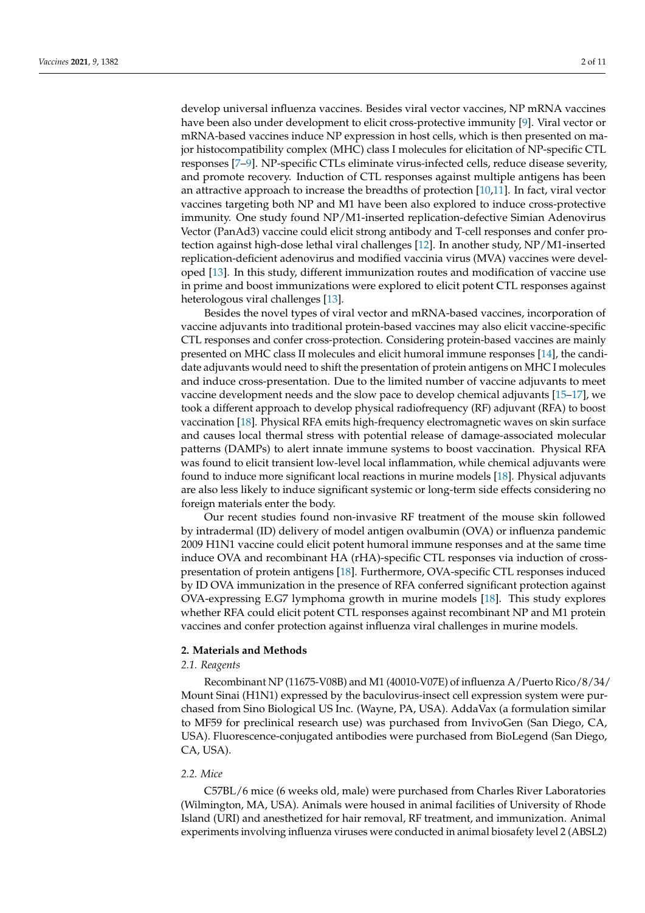develop universal influenza vaccines. Besides viral vector vaccines, NP mRNA vaccines have been also under development to elicit cross-protective immunity [\[9\]](#page-11-0). Viral vector or mRNA-based vaccines induce NP expression in host cells, which is then presented on major histocompatibility complex (MHC) class I molecules for elicitation of NP-specific CTL responses [\[7](#page-10-6)[–9\]](#page-11-0). NP-specific CTLs eliminate virus-infected cells, reduce disease severity, and promote recovery. Induction of CTL responses against multiple antigens has been an attractive approach to increase the breadths of protection [\[10](#page-11-1)[,11\]](#page-11-2). In fact, viral vector vaccines targeting both NP and M1 have been also explored to induce cross-protective immunity. One study found NP/M1-inserted replication-defective Simian Adenovirus Vector (PanAd3) vaccine could elicit strong antibody and T-cell responses and confer protection against high-dose lethal viral challenges [\[12\]](#page-11-3). In another study, NP/M1-inserted replication-deficient adenovirus and modified vaccinia virus (MVA) vaccines were developed [\[13\]](#page-11-4). In this study, different immunization routes and modification of vaccine use in prime and boost immunizations were explored to elicit potent CTL responses against heterologous viral challenges [\[13\]](#page-11-4).

Besides the novel types of viral vector and mRNA-based vaccines, incorporation of vaccine adjuvants into traditional protein-based vaccines may also elicit vaccine-specific CTL responses and confer cross-protection. Considering protein-based vaccines are mainly presented on MHC class II molecules and elicit humoral immune responses [\[14\]](#page-11-5), the candidate adjuvants would need to shift the presentation of protein antigens on MHC I molecules and induce cross-presentation. Due to the limited number of vaccine adjuvants to meet vaccine development needs and the slow pace to develop chemical adjuvants [\[15–](#page-11-6)[17\]](#page-11-7), we took a different approach to develop physical radiofrequency (RF) adjuvant (RFA) to boost vaccination [\[18\]](#page-11-8). Physical RFA emits high-frequency electromagnetic waves on skin surface and causes local thermal stress with potential release of damage-associated molecular patterns (DAMPs) to alert innate immune systems to boost vaccination. Physical RFA was found to elicit transient low-level local inflammation, while chemical adjuvants were found to induce more significant local reactions in murine models [\[18\]](#page-11-8). Physical adjuvants are also less likely to induce significant systemic or long-term side effects considering no foreign materials enter the body.

Our recent studies found non-invasive RF treatment of the mouse skin followed by intradermal (ID) delivery of model antigen ovalbumin (OVA) or influenza pandemic 2009 H1N1 vaccine could elicit potent humoral immune responses and at the same time induce OVA and recombinant HA (rHA)-specific CTL responses via induction of crosspresentation of protein antigens [\[18\]](#page-11-8). Furthermore, OVA-specific CTL responses induced by ID OVA immunization in the presence of RFA conferred significant protection against OVA-expressing E.G7 lymphoma growth in murine models [\[18\]](#page-11-8). This study explores whether RFA could elicit potent CTL responses against recombinant NP and M1 protein vaccines and confer protection against influenza viral challenges in murine models.

## **2. Materials and Methods**

## *2.1. Reagents*

Recombinant NP (11675-V08B) and M1 (40010-V07E) of influenza A/Puerto Rico/8/34/ Mount Sinai (H1N1) expressed by the baculovirus-insect cell expression system were purchased from Sino Biological US Inc. (Wayne, PA, USA). AddaVax (a formulation similar to MF59 for preclinical research use) was purchased from InvivoGen (San Diego, CA, USA). Fluorescence-conjugated antibodies were purchased from BioLegend (San Diego, CA, USA).

## *2.2. Mice*

C57BL/6 mice (6 weeks old, male) were purchased from Charles River Laboratories (Wilmington, MA, USA). Animals were housed in animal facilities of University of Rhode Island (URI) and anesthetized for hair removal, RF treatment, and immunization. Animal experiments involving influenza viruses were conducted in animal biosafety level 2 (ABSL2)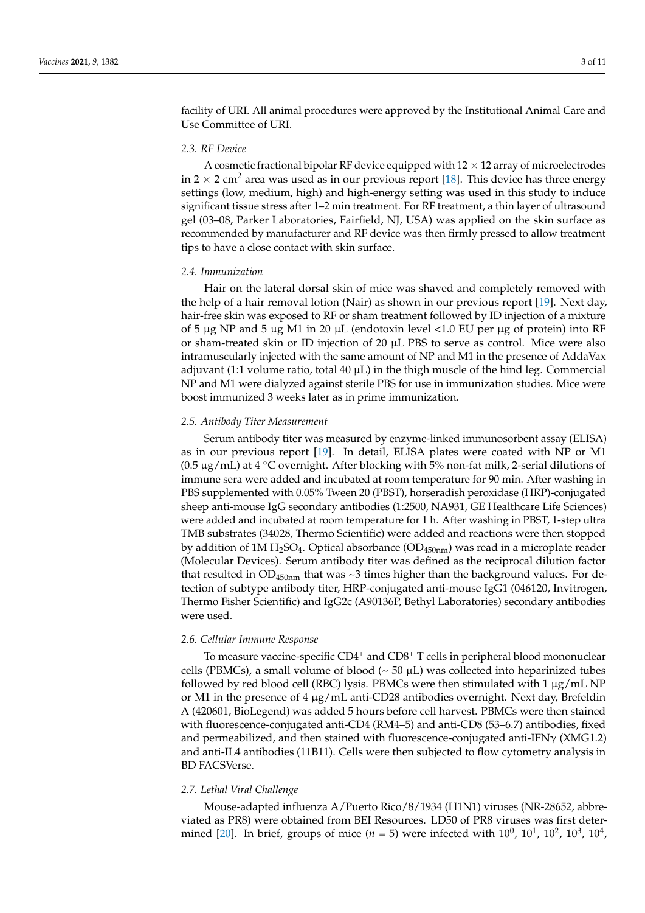facility of URI. All animal procedures were approved by the Institutional Animal Care and Use Committee of URI.

## *2.3. RF Device*

A cosmetic fractional bipolar RF device equipped with  $12 \times 12$  array of microelectrodes in 2  $\times$  2 cm<sup>2</sup> area was used as in our previous report [\[18\]](#page-11-8). This device has three energy settings (low, medium, high) and high-energy setting was used in this study to induce significant tissue stress after 1–2 min treatment. For RF treatment, a thin layer of ultrasound gel (03–08, Parker Laboratories, Fairfield, NJ, USA) was applied on the skin surface as recommended by manufacturer and RF device was then firmly pressed to allow treatment tips to have a close contact with skin surface.

## *2.4. Immunization*

Hair on the lateral dorsal skin of mice was shaved and completely removed with the help of a hair removal lotion (Nair) as shown in our previous report [\[19\]](#page-11-9). Next day, hair-free skin was exposed to RF or sham treatment followed by ID injection of a mixture of 5  $\mu$ g NP and 5  $\mu$ g M1 in 20  $\mu$ L (endotoxin level <1.0 EU per  $\mu$ g of protein) into RF or sham-treated skin or ID injection of 20 µL PBS to serve as control. Mice were also intramuscularly injected with the same amount of NP and M1 in the presence of AddaVax adjuvant (1:1 volume ratio, total 40  $\mu$ L) in the thigh muscle of the hind leg. Commercial NP and M1 were dialyzed against sterile PBS for use in immunization studies. Mice were boost immunized 3 weeks later as in prime immunization.

### *2.5. Antibody Titer Measurement*

Serum antibody titer was measured by enzyme-linked immunosorbent assay (ELISA) as in our previous report [\[19\]](#page-11-9). In detail, ELISA plates were coated with NP or M1 (0.5  $\mu$ g/mL) at 4 °C overnight. After blocking with 5% non-fat milk, 2-serial dilutions of immune sera were added and incubated at room temperature for 90 min. After washing in PBS supplemented with 0.05% Tween 20 (PBST), horseradish peroxidase (HRP)-conjugated sheep anti-mouse IgG secondary antibodies (1:2500, NA931, GE Healthcare Life Sciences) were added and incubated at room temperature for 1 h. After washing in PBST, 1-step ultra TMB substrates (34028, Thermo Scientific) were added and reactions were then stopped by addition of 1M H<sub>2</sub>SO<sub>4</sub>. Optical absorbance (OD<sub>450nm</sub>) was read in a microplate reader (Molecular Devices). Serum antibody titer was defined as the reciprocal dilution factor that resulted in  $OD_{450nm}$  that was  $\sim$ 3 times higher than the background values. For detection of subtype antibody titer, HRP-conjugated anti-mouse IgG1 (046120, Invitrogen, Thermo Fisher Scientific) and IgG2c (A90136P, Bethyl Laboratories) secondary antibodies were used.

## *2.6. Cellular Immune Response*

To measure vaccine-specific  $CD4^+$  and  $CD8^+$  T cells in peripheral blood mononuclear cells (PBMCs), a small volume of blood ( $\sim$  50  $\mu$ L) was collected into heparinized tubes followed by red blood cell (RBC) lysis. PBMCs were then stimulated with  $1 \mu g/mL NP$ or M1 in the presence of 4 µg/mL anti-CD28 antibodies overnight. Next day, Brefeldin A (420601, BioLegend) was added 5 hours before cell harvest. PBMCs were then stained with fluorescence-conjugated anti-CD4 (RM4–5) and anti-CD8 (53–6.7) antibodies, fixed and permeabilized, and then stained with fluorescence-conjugated anti-IFNγ (XMG1.2) and anti-IL4 antibodies (11B11). Cells were then subjected to flow cytometry analysis in BD FACSVerse.

### *2.7. Lethal Viral Challenge*

Mouse-adapted influenza A/Puerto Rico/8/1934 (H1N1) viruses (NR-28652, abbreviated as PR8) were obtained from BEI Resources. LD50 of PR8 viruses was first deter-mined [\[20\]](#page-11-10). In brief, groups of mice  $(n = 5)$  were infected with  $10^0$ ,  $10^1$ ,  $10^2$ ,  $10^3$ ,  $10^4$ ,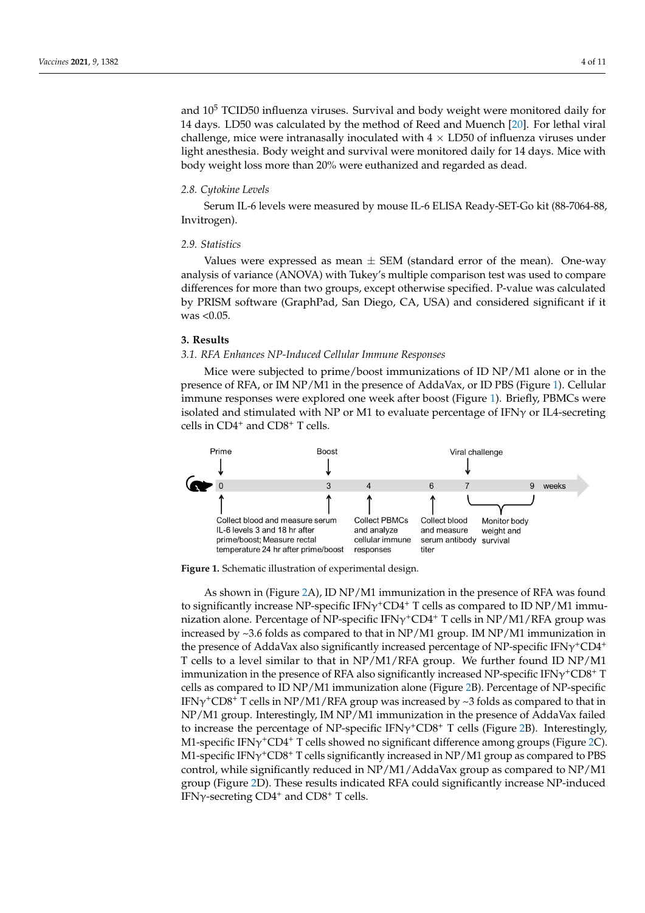and  $10^5$  TCID50 influenza viruses. Survival and body weight were monitored daily for 14 days. LD50 was calculated by the method of Reed and M[uen](#page-11-10)ch [20]. For lethal viral challenge, mice were intranasally inoculated with  $4 \times L$ D50 of influenza viruses under light anesthesia. Body weight and survival were monitored daily for 14 days. Mice with body weight loss more than 20% were euthanized and regarded as dead.

#### *2.8. Cytokine Levels*  $S<sub>L</sub>$  is more measured by more interesting that  $S<sub>L</sub>$  and  $S<sub>L</sub>$  and  $S<sub>L</sub>$  and  $S<sub>L</sub>$

Serum IL-6 levels were measured by mouse IL-6 ELISA Ready-SET-Go kit (88-7064-88, Invitrogen).

### *2.9. Statistics 2.9. Statistics*

Values were expressed as mean ± SEM (standard error of the mean). One-way Values were expressed as mean ± SEM (standard error of the mean). One-way analysis of variance (ANOVA) with Tukey's multiple comparison test was used to compare<br>differences for more than two groups, except of the was used to compare differences for more than two groups, except otherwise specified. P-value was calculated amerences for more than two groups, except otherwise specified. I -vanic was calculated<br>by PRISM software (GraphPad, San Diego, CA, USA) and considered significant if it was  $< 0.05$ . values were expressed as filed  $\perp$  SEW (Standard error of the filed). One-way  $\frac{1}{2}$  in Soliman (Siaf

# **3. Results 3. Results**

## *3.1. RFA Enhances NP-Induced Cellular Immune Responses 3.1. RFA Enhances NP-Induced Cellular Immune Responses*

Mice were subjected to prime/boost immunizations of ID NP/M1 alone or in the Mice were subjected to prime/boost immunizations of ID NP/M1 alone or in the presence of RFA, or IM NP/M1 in the presence of AddaVax, or ID PBS (Figure [1\)](#page-4-0). Cellular presence of RFA, or IM NP/M1 in the presence of AddaVax, or ID PBS (Figure 1). Cellular immune responses were explored one week after boost (Figure 1). Briefly, PBMCs were immune responses were explored one week after boost (Figur[e 1](#page-4-0)). Briefly, PBMCs were isolated and stimulated with NP or M1 to evaluate percentage of IFNγ or IL4-secreting isolated and stimulated with NP or M1 to evaluate percentage of IFNγ or IL4-secreting cells in CD4<sup>+</sup> and CD8<sup>+</sup> T cells. cells in CD4+ and CD8+ T cells.

<span id="page-4-0"></span>

**Figure 1.** Schematic illustration of experimental design. **Figure 1.** Schematic illustration of experimental design.

As shown in (Figure 2A), ID NP/M1 immunization in the presence of RAP/M3 iound to significantly increase NP-specific IFN $\gamma^+CD4^+$  T cells as compared to ID NP/M1 immu- $\frac{1}{2}$  in the  $\frac{2}{3}$  (called  $\frac{1}{2}$  cells in  $\frac{1}{2}$  groups  $\frac{1}{2}$  for  $\frac{1}{2}$  groups  $\frac{1}{2}$  groups  $\frac{1}{2}$  for  $\frac{1}{2}$   $\frac{1}{2}$  groups  $\frac{1}{2}$  for  $\frac{1}{2}$  groups  $\frac{1}{2}$  for  $\frac{1}{2}$  groups increased by ~3.6 folds as compared to that in NP/M1 group. IM NP/M1 immunization in<br>the presence of AddeMay also significantly increased persentage of NR creatific IEMstCD4+ In presence of AddaVax also significantly increased percentage of AP-specific HAV-CDT cells to a level similar to that in NP/M1/RFA group. We further found ID NP/M1  $\frac{1}{2}$  immunization in the presence of RFA also significantly increased NP-specific IFN $\gamma$ <sup>+</sup>CD8<sup>+</sup> T municalization in the presence of rationalso eigenmeantly increased NP-specific relationships as compared to ID NP/M1 immunization alone (Figure [2B](#page-5-0)). Percentage of NP-specific  $IEN\gamma$ <sup>+</sup>CD8<sup>+</sup> T cells in NP/M1/RFA group was increased by ~3 folds as compared to that in NP/M1 group. Interestingly, IM NP/M1 immunization in the presence of AddaVax failed to increase the percentage of NP-specific IFN $\gamma$ <sup>+</sup>CD8<sup>+</sup> T cells (Figure [2B](#page-5-0)). Interestingly, M1-specific IFN $\gamma^+$ CD4<sup>+</sup> T cells showed no significant difference among groups (Figure [2C](#page-5-0)). M1-specific IFN $\gamma$ <sup>+</sup>CD8<sup>+</sup> T cells significantly increased in NP/M1 group as compared to PBS control, while significantly reduced in NP/M1/AddaVax group as compared to NP/M1 As shown in (Figure [2A](#page-5-0)), ID NP/M1 immunization in the presence of RFA was found nization alone. Percentage of NP-specific IFNγ<sup>+</sup>CD4<sup>+</sup> T cells in NP/M1/RFA group was the presence of AddaVax also significantly increased percentage of NP-specific IFNγ<sup>+</sup>CD4<sup>+</sup> group (Figure [2D](#page-5-0)). These results indicated RFA could significantly increase NP-induced IFN $\gamma$ -secreting CD4<sup>+</sup> and CD8<sup>+</sup> T cells.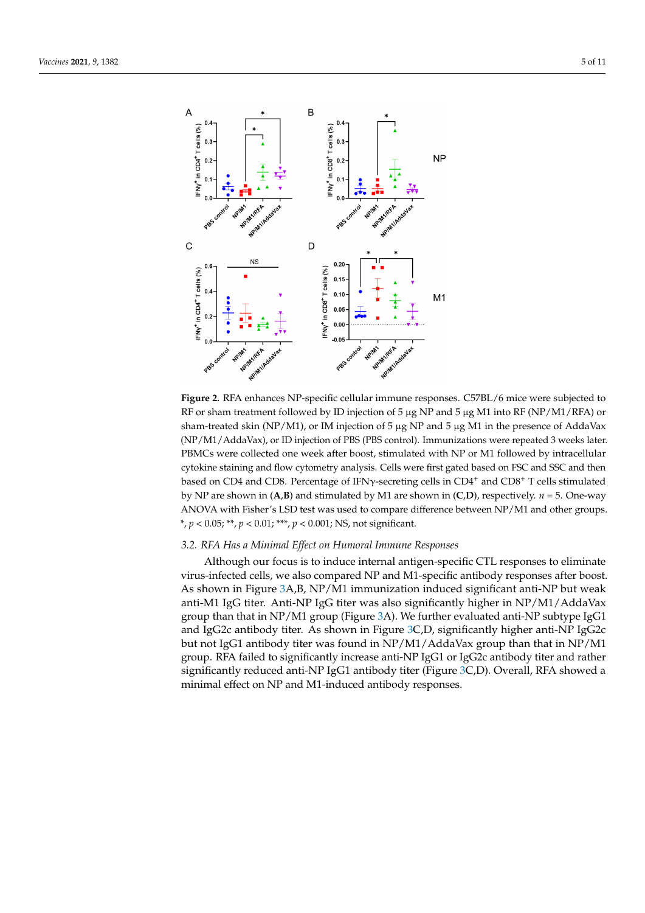<span id="page-5-0"></span>

RF or sham treatment followed by ID injection of 5 µg NP and 5 µg M1 into RF (NP/M1/RFA) or sham-treated skin (NP/M1), or IM injection of 5 μg NP and 5 μg M1 in the presence of AddaVax (NP/M1/AddaVax), or ID injection of PBS (PBS control). Immunizations were repeated 3 weeks later. PBMCs were collected one week after boost, stimulated with NP or M1 followed by intracellular later. PBMCs were collected one week after boost, stimulated with NP or M1 followed by the M1 followed by  $\frac{1}{2}$ cytokine staining and flow cytometry analysis. Cells were first gated based on FSC and SSC and then based on CD4 and CD8. Percentage of IFN $\gamma$ -secreting cells in CD4<sup>+</sup> and CD8<sup>+</sup> T cells stimulated by NP are shown in  $(A,B)$  and stimulated by M1 are shown in  $(C,D)$ , respectively.  $n = 5$ . One-way ANOVA with Fisher's LSD test was used to compare difference between NP/M1 and other groups. groups. \*, *p* < 0.05; \*\*, *p* < 0.01; \*\*\*, *p* < 0.001; NS, not significant. \*, *p* < 0.05; \*\*, *p* < 0.01; \*\*\*, *p* < 0.001; NS, not significant. **Figure 2.** RFA enhances NP-specific cellular immune responses. C57BL/6 mice were subjected to

# *3.2. RFA Has a Minimal Effect on Humoral Immune Responses 3.2. RFA Has a Minimal Effect on Humoral Immune Responses*

Although our focus is to induce internal antigen-specific CTL responses to eliminate Although our focus is to induce internal antigen-specific CTL responses to eliminate virus-infected cells, we also compared NP and M1-specific antibody responses after boost.<br>
virus-infected cells, we also compared NP and M1-specific antibody responses after boost. As shown in Figure [3A](#page-6-0),B, NP/M1 immunization induced significant anti-NP but weak<br>As shown in Figure 3A,B, NP/M1 immunization induced significant anti-NP but weak anti-M1 IgG titer. Anti-NP IgG titer was also significantly higher in NP/M1/AddaVax anti-M1 IgG titer. Anti-NP IgG titer was also significantly higher in NP/M1/AddaVax group than that in NP/M1 group (Figure [3A](#page-6-0)). We further evaluated anti-NP subtype IgG1  $\frac{1}{10}$ and IgG2c antibody titer. As shown in Figure [3C](#page-6-0),D, significantly higher anti-NP IgG2c but not Left anti-NP IgG2c not IgG1 antibody titer was found in NP/M1/AddaVax group than that in NP/M1 group. group. RFA failed to significantly increase anti-NP IgG1 or IgG2c antibody titer and rather RFA failed to significantly increase anti-NP IgG1 or IgG2c antibody titer and rather significantly reduced anti-NP IgG1 antibody titer (Figure [3C](#page-6-0),D). Overall, RFA showed a significantly reduced anti- $N^2$  iggs antibody titer (Figure 3C,D). Overall, RFA showed a minimal effect on NP and M1-induced antibody responses. minimal effect on NP and M1-induced antibody responses.but not IgG1 antibody titer was found in NP/M1/AddaVax group than that in NP/M1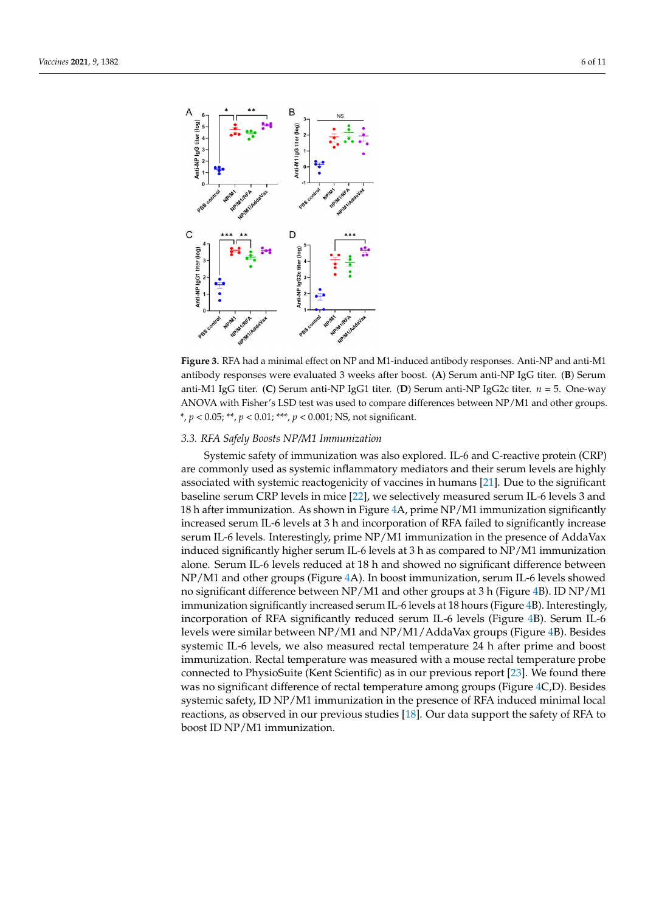<span id="page-6-0"></span>

antibody responses were evaluated 3 weeks after boost. (A) Serum anti-NP IgG titer. (B) Serum anti-M1 IgG titer. (C) Serum anti-NP IgG1 titer. (D) Serum anti-NP IgG2c titer.  $n = 5$ . One-way ANOVA with Fisher's LSD test was used to compare differences between NP/M1 and other groups.  $A_{\text{N}}$  and  $\overline{O}$  test was used to compare differences between  $\overline{O}$  and  $\overline{N}$  and  $\overline{N}$  and  $\overline{N}$  and  $\overline{N}$  and  $\overline{N}$  and  $\overline{N}$  and  $\overline{N}$  and  $\overline{N}$  and  $\overline{N}$  and  $\overline{N}$  and  $\overline{N}$  a \*, *p* < 0.05; \*\*, *p* < 0.01; \*\*\*, *p* < 0.001; NS, not significant. \*, *p* < 0.05; \*\*, *p* < 0.01; \*\*\*, *p* < 0.001; NS, not significant. **Figure 3.** RFA had a minimal effect on NP and M1-induced antibody responses. Anti-NP and anti-M1

## *3.3. RFA Safely Boosts NP/M1 Immunization*

*3.3. RFA Safely Boosts NP/M1 Immunization*  Systemic safety of immunization was also explored. IL-6 and C-reactive protein (CRP) are commonly used as systemic inflammatory mediators and their serum levels are highly associated with systemic reactogenicity of vaccines in humans [21]. Due to the significant baseline serum CRP levels in mice [22], we selectively measured serum IL-6 levels 3 and 18 h after immunization. As shown in Figure 4A, prime NP/M1 immunization significantly increased serum IL-6 levels at 3 h and incorporation of RFA failed to significantly increase serum IL-6 levels. Interestingly, prime NP/M1 immunization in the presence of AddaVax induced significantly higher serum IL-6 levels at 3 h as compared to NP/M1 immunization alone. Serum IL-6 levels reduced at 18 h and showed no significant difference between  $NP/M1$  and other groups (Figure 4A). In boost immunization, serum IL-6 levels showed NP/M1 and other groups (Figure [4A](#page-7-0)). In boost immunization, serum IL-6 levels showed no significant difference between NP/M1 and other groups at 3 h (Figure 4B). ID NP/M1 immunization significantly increased serum IL-6 levels at 18 hours (Figure 4B). Interestingly, incorporation of RFA significantly reduced serum IL-6 levels (Figure 4B). Serum IL-6 levels were similar between  $NP/M1$  and  $NP/M1/A$ dda $Vax$  groups (Figure 4B). Besides systemic IL-6 levels, we also measured rectal temperature 24 h after prime and boost immunization. Rectal temperature was measured with a mouse rectal temperature probe connected to PhysioSuite (Kent Scientific) as in our previous report [\[23\]](#page-11-13). We found there was no significant difference of rectal temperature among groups (Figure 4C,D). Besides systemic safety, ID NP/M1 immunization in the presence of RFA induced minimal local reactions, as observed in our previous studies  $[18]$ . Our data support the safety of RFA to  $\frac{1}{10}$  boost ID NP/M1 immunization. incorporation of RFA significantly reduced serum IL-6 levels (Figure [4B](#page-7-0)). Serum IL-6<br>levels were similar between NP/M1 and NP/M1/AddaVax groups (Figure 4B). Besides<br>systemic IL-6 levels, we also measured rectal temperature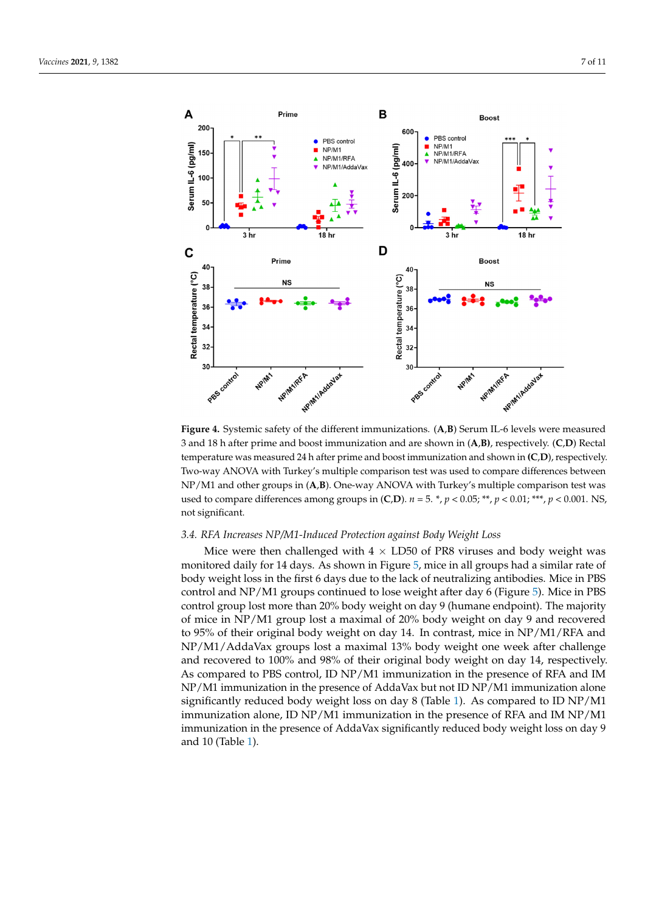<span id="page-7-0"></span>

**Figure 4.** Systemic safety of the different immunizations. (A,B) Serum IL-6 levels were measured 3 and 18 h after prime and boost immunization and are shown in  $(A,B)$ , respectively.  $(C,D)$  Rectal temperature was measured 24 h after prime and boost immunization and shown in (C,D), respectively. Two-way ANOVA with Turkey's multiple comparison test was used to compare differences between NP/M1 and other groups in (A,B). One-way ANOVA with Turkey's multiple comparison test was compare differences among groups in  $(\mathbf{C}, \mathbf{D})$ ,  $n = 5$ ,  $*$ ,  $p \times 0.05$ ; \*\*,  $p \times 0.01$ , \*\*,  $p \times 0.001$ , NS used to compare differences among groups in  $(C,D)$ .  $n = 5$ .  $\ast$ ,  $p < 0.05$ ;  $\ast\ast$ ,  $p < 0.01$ ;  $\ast\ast\ast$ ,  $p < 0.001$ . NS, not significant.

## *3.4. RFA Increases NP/M1-Induced Protection against Body Weight Loss 3.4. RFA Increases NP/M1-Induced Protection against Body Weight Loss*

Mice were then challenged with  $4 \times L$ D50 of PR8 viruses and body weight was monitored daily for 14 days. As shown in Figur[e 5](#page-8-0), mice in all groups had a similar rate monitored daily for 14 days. As shown in Figure 5, mice in all groups had a similar rate of body weight loss in the first 6 days due to the lack of neutralizing antibodies. Mice in PBS control and NP/M1 groups continued to lose weight after day 6 (Fi[gur](#page-8-0)e 5). Mice in PBS control group lost more than 20% body weight on day 9 (humane endpoint). The majority of mice in NP/M1 group lost a maximal of 20% body weight on day 9 and recovered to 95% of their original body weight on day 14. In contrast, mice in NP/M1/RFA and and NP/M1/AddaVax groups lost a maximal 13% body weight one week after challenge NP/M1/AddaVax groups lost a maximal 13% body weight one week after challenge and recovered to 100% and 98% of their original body weight on day 14, respectively. As compared to PBS control, ID NP/M1 immunization in the presence of RFA and IM  $NP/M1$  immunization in the presence of AddaVax but not ID NP/M1 immunization alone significantly reduced body weight loss on day 8 (Table [1\)](#page-8-1). As compared to ID NP/M1 significantly reduced body weight loss on day 8 (Table 1). As compared to ID NP/M1 immunization alone, ID NP/M1 immunization in the presence of RFA and IM NP/M1 immunization alone, ID NP/M1 immunization in the presence of RFA and IM NP/M1 immunization in the presence of AddaVax significantly reduced body weight loss on day 9 9 and 10 (Tabl[e 1](#page-8-1)). and 10 (Table 1).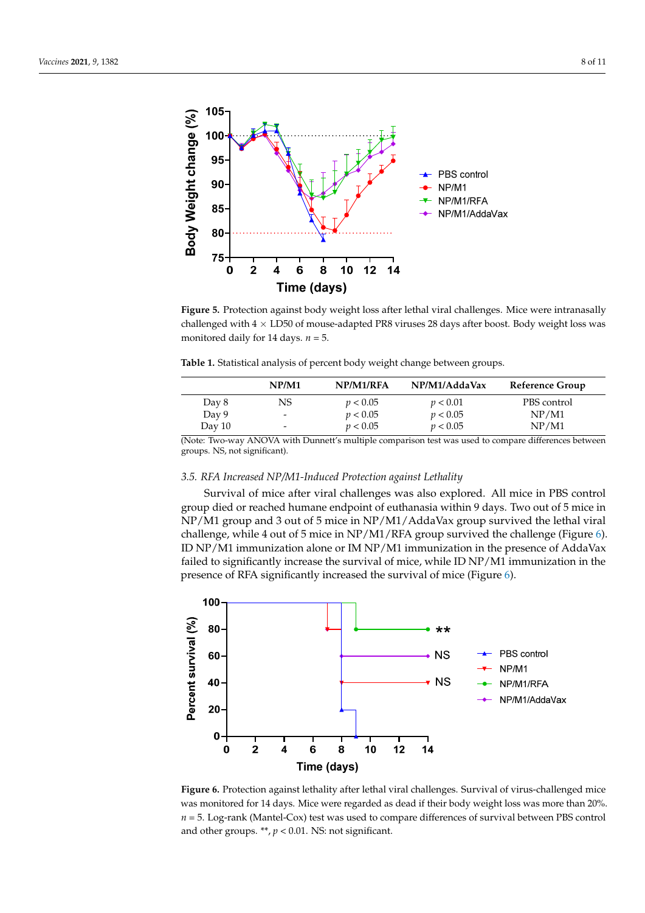<span id="page-8-0"></span>

between groups. NS, not significant).

**Figure 5.** Protection against body weight loss after lethal viral challenges. Mice were intranasally  $\frac{1}{2}$ challenged with  $4 \times$  LD50 of mouse-adapted PR8 viruses 28 days after boost. Body weight loss was monitored daily for 14 days. *n* = 5. monitored daily for 14 days. *n* = 5.

<span id="page-8-1"></span>

| Table 1. Statistical analysis of percent body weight change between groups. |  |
|-----------------------------------------------------------------------------|--|
|-----------------------------------------------------------------------------|--|

|        | NP/M1                        | NP/M1/RFA | NP/M1/AddaVax | Reference Group |
|--------|------------------------------|-----------|---------------|-----------------|
| Day 8  | NS                           | p < 0.05  | p < 0.01      | PBS control     |
| Day 9  | -                            | p < 0.05  | p < 0.05      | NP/M1           |
| Day 10 | $\qquad \qquad \blacksquare$ | p < 0.05  | p < 0.05      | NP/M1           |
|        |                              |           |               |                 |

(Note: Two-way ANOVA with Dunnett's multiple comparison test was used to compare differences between groups. NS, not significant).

## presence of RFA significantly increased the survival of mice (Figure 6). 3.5. RFA Increased NP/M1-Induced Protection against Lethality

Survival of mice after viral challenges was also explored. All mice in PBS control group died or reached humane endpoint of euthanasia within 9 days. Two out of 5 mice in  $NP/M1$  group and 3 out of 5 mice in  $NP/M1/A$ ddaVax group survived the lethal viral challenge, while 4 out of 5 mice in  $NP/M1/RFA$  group survived the challenge (Figure 6). ID NP/M1 immunization alone or IM NP/M1 immunization in the presence of AddaVax failed to significantly increase the survival of mice, while ID  $NP/M1$  immunization in the presence of RFA significantly increased the survival of mice (Figure [6\)](#page-8-2).

<span id="page-8-2"></span>

**Figure 6.** Protection against lethality after lethal viral challenges. Survival of virus-challenged mice was monitored for 14 days. Mice were regarded as dead if their body weight loss was more than 20%. **Figure 6.** Protection against lethality after lethal viral challenges. Survival of virus-challenged mice *n* = 5. Log-rank (Mantel-Cox) test was used to compare differences of survival between PBS control and other groups. \*\*,  $p < 0.01$ . NS: not significant.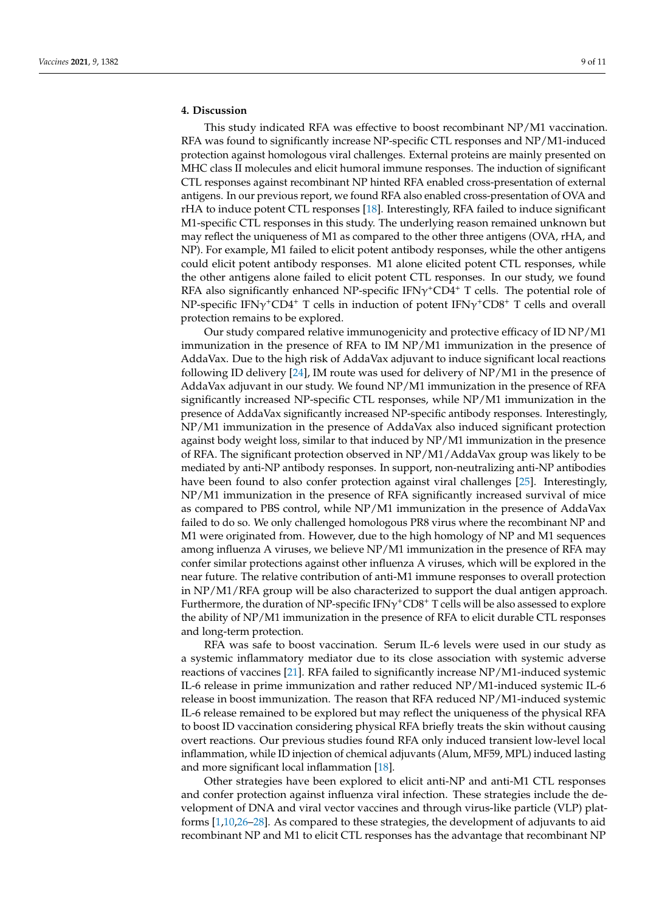## **4. Discussion**

This study indicated RFA was effective to boost recombinant NP/M1 vaccination. RFA was found to significantly increase NP-specific CTL responses and NP/M1-induced protection against homologous viral challenges. External proteins are mainly presented on MHC class II molecules and elicit humoral immune responses. The induction of significant CTL responses against recombinant NP hinted RFA enabled cross-presentation of external antigens. In our previous report, we found RFA also enabled cross-presentation of OVA and rHA to induce potent CTL responses [\[18\]](#page-11-8). Interestingly, RFA failed to induce significant M1-specific CTL responses in this study. The underlying reason remained unknown but may reflect the uniqueness of M1 as compared to the other three antigens (OVA, rHA, and NP). For example, M1 failed to elicit potent antibody responses, while the other antigens could elicit potent antibody responses. M1 alone elicited potent CTL responses, while the other antigens alone failed to elicit potent CTL responses. In our study, we found RFA also significantly enhanced NP-specific  $IFN\gamma^+CD4^+$  T cells. The potential role of NP-specific IFN $\gamma$ <sup>+</sup>CD4<sup>+</sup> T cells in induction of potent IFN $\gamma$ <sup>+</sup>CD8<sup>+</sup> T cells and overall protection remains to be explored.

Our study compared relative immunogenicity and protective efficacy of ID NP/M1 immunization in the presence of RFA to IM NP/M1 immunization in the presence of AddaVax. Due to the high risk of AddaVax adjuvant to induce significant local reactions following ID delivery [\[24\]](#page-11-14), IM route was used for delivery of NP/M1 in the presence of AddaVax adjuvant in our study. We found NP/M1 immunization in the presence of RFA significantly increased NP-specific CTL responses, while NP/M1 immunization in the presence of AddaVax significantly increased NP-specific antibody responses. Interestingly, NP/M1 immunization in the presence of AddaVax also induced significant protection against body weight loss, similar to that induced by NP/M1 immunization in the presence of RFA. The significant protection observed in NP/M1/AddaVax group was likely to be mediated by anti-NP antibody responses. In support, non-neutralizing anti-NP antibodies have been found to also confer protection against viral challenges [\[25\]](#page-11-15). Interestingly, NP/M1 immunization in the presence of RFA significantly increased survival of mice as compared to PBS control, while NP/M1 immunization in the presence of AddaVax failed to do so. We only challenged homologous PR8 virus where the recombinant NP and M1 were originated from. However, due to the high homology of NP and M1 sequences among influenza A viruses, we believe  $NP/M1$  immunization in the presence of RFA may confer similar protections against other influenza A viruses, which will be explored in the near future. The relative contribution of anti-M1 immune responses to overall protection in NP/M1/RFA group will be also characterized to support the dual antigen approach. Furthermore, the duration of NP-specific IFN $\gamma^+$ CD8<sup>+</sup> T cells will be also assessed to explore the ability of NP/M1 immunization in the presence of RFA to elicit durable CTL responses and long-term protection.

RFA was safe to boost vaccination. Serum IL-6 levels were used in our study as a systemic inflammatory mediator due to its close association with systemic adverse reactions of vaccines [\[21\]](#page-11-11). RFA failed to significantly increase NP/M1-induced systemic IL-6 release in prime immunization and rather reduced NP/M1-induced systemic IL-6 release in boost immunization. The reason that RFA reduced NP/M1-induced systemic IL-6 release remained to be explored but may reflect the uniqueness of the physical RFA to boost ID vaccination considering physical RFA briefly treats the skin without causing overt reactions. Our previous studies found RFA only induced transient low-level local inflammation, while ID injection of chemical adjuvants (Alum, MF59, MPL) induced lasting and more significant local inflammation [\[18\]](#page-11-8).

Other strategies have been explored to elicit anti-NP and anti-M1 CTL responses and confer protection against influenza viral infection. These strategies include the development of DNA and viral vector vaccines and through virus-like particle (VLP) platforms [\[1,](#page-10-0)[10](#page-11-1)[,26–](#page-11-16)[28\]](#page-11-17). As compared to these strategies, the development of adjuvants to aid recombinant NP and M1 to elicit CTL responses has the advantage that recombinant NP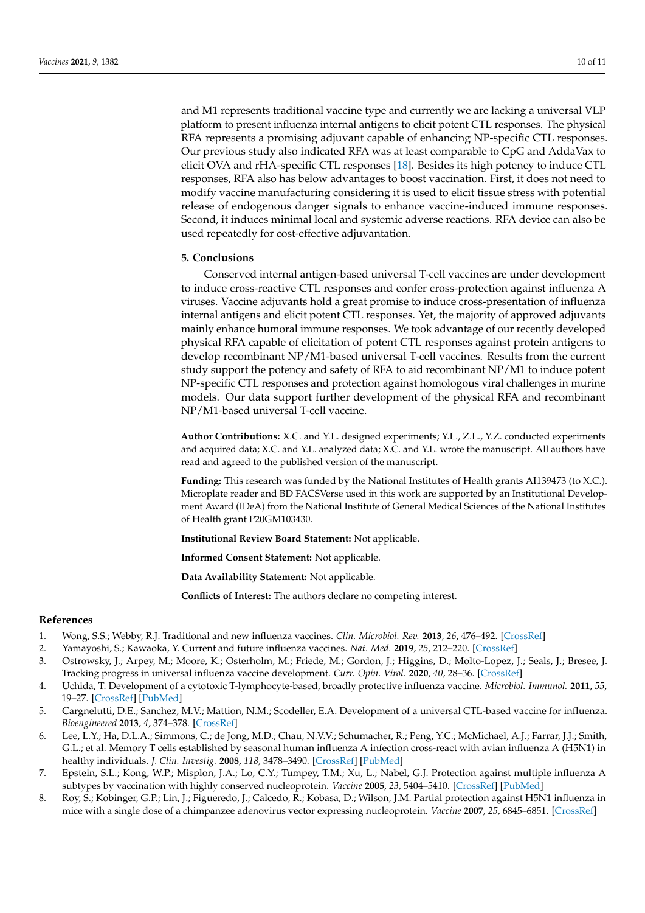and M1 represents traditional vaccine type and currently we are lacking a universal VLP platform to present influenza internal antigens to elicit potent CTL responses. The physical RFA represents a promising adjuvant capable of enhancing NP-specific CTL responses. Our previous study also indicated RFA was at least comparable to CpG and AddaVax to elicit OVA and rHA-specific CTL responses [\[18\]](#page-11-8). Besides its high potency to induce CTL responses, RFA also has below advantages to boost vaccination. First, it does not need to modify vaccine manufacturing considering it is used to elicit tissue stress with potential release of endogenous danger signals to enhance vaccine-induced immune responses. Second, it induces minimal local and systemic adverse reactions. RFA device can also be used repeatedly for cost-effective adjuvantation.

## **5. Conclusions**

Conserved internal antigen-based universal T-cell vaccines are under development to induce cross-reactive CTL responses and confer cross-protection against influenza A viruses. Vaccine adjuvants hold a great promise to induce cross-presentation of influenza internal antigens and elicit potent CTL responses. Yet, the majority of approved adjuvants mainly enhance humoral immune responses. We took advantage of our recently developed physical RFA capable of elicitation of potent CTL responses against protein antigens to develop recombinant NP/M1-based universal T-cell vaccines. Results from the current study support the potency and safety of RFA to aid recombinant NP/M1 to induce potent NP-specific CTL responses and protection against homologous viral challenges in murine models. Our data support further development of the physical RFA and recombinant NP/M1-based universal T-cell vaccine.

**Author Contributions:** X.C. and Y.L. designed experiments; Y.L., Z.L., Y.Z. conducted experiments and acquired data; X.C. and Y.L. analyzed data; X.C. and Y.L. wrote the manuscript. All authors have read and agreed to the published version of the manuscript.

**Funding:** This research was funded by the National Institutes of Health grants AI139473 (to X.C.). Microplate reader and BD FACSVerse used in this work are supported by an Institutional Development Award (IDeA) from the National Institute of General Medical Sciences of the National Institutes of Health grant P20GM103430.

**Institutional Review Board Statement:** Not applicable.

**Informed Consent Statement:** Not applicable.

**Data Availability Statement:** Not applicable.

**Conflicts of Interest:** The authors declare no competing interest.

## **References**

- <span id="page-10-0"></span>1. Wong, S.S.; Webby, R.J. Traditional and new influenza vaccines. *Clin. Microbiol. Rev.* **2013**, *26*, 476–492. [\[CrossRef\]](http://doi.org/10.1128/CMR.00097-12)
- <span id="page-10-1"></span>2. Yamayoshi, S.; Kawaoka, Y. Current and future influenza vaccines. *Nat. Med.* **2019**, *25*, 212–220. [\[CrossRef\]](http://doi.org/10.1038/s41591-018-0340-z)
- <span id="page-10-2"></span>3. Ostrowsky, J.; Arpey, M.; Moore, K.; Osterholm, M.; Friede, M.; Gordon, J.; Higgins, D.; Molto-Lopez, J.; Seals, J.; Bresee, J. Tracking progress in universal influenza vaccine development. *Curr. Opin. Virol.* **2020**, *40*, 28–36. [\[CrossRef\]](http://doi.org/10.1016/j.coviro.2020.02.003)
- <span id="page-10-3"></span>4. Uchida, T. Development of a cytotoxic T-lymphocyte-based, broadly protective influenza vaccine. *Microbiol. Immunol.* **2011**, *55*, 19–27. [\[CrossRef\]](http://doi.org/10.1111/j.1348-0421.2010.00273.x) [\[PubMed\]](http://www.ncbi.nlm.nih.gov/pubmed/21175770)
- <span id="page-10-4"></span>5. Cargnelutti, D.E.; Sanchez, M.V.; Mattion, N.M.; Scodeller, E.A. Development of a universal CTL-based vaccine for influenza. *Bioengineered* **2013**, *4*, 374–378. [\[CrossRef\]](http://doi.org/10.4161/bioe.23573)
- <span id="page-10-5"></span>6. Lee, L.Y.; Ha, D.L.A.; Simmons, C.; de Jong, M.D.; Chau, N.V.V.; Schumacher, R.; Peng, Y.C.; McMichael, A.J.; Farrar, J.J.; Smith, G.L.; et al. Memory T cells established by seasonal human influenza A infection cross-react with avian influenza A (H5N1) in healthy individuals. *J. Clin. Investig.* **2008**, *118*, 3478–3490. [\[CrossRef\]](http://doi.org/10.1172/JCI32460) [\[PubMed\]](http://www.ncbi.nlm.nih.gov/pubmed/18802496)
- <span id="page-10-6"></span>7. Epstein, S.L.; Kong, W.P.; Misplon, J.A.; Lo, C.Y.; Tumpey, T.M.; Xu, L.; Nabel, G.J. Protection against multiple influenza A subtypes by vaccination with highly conserved nucleoprotein. *Vaccine* **2005**, *23*, 5404–5410. [\[CrossRef\]](http://doi.org/10.1016/j.vaccine.2005.04.047) [\[PubMed\]](http://www.ncbi.nlm.nih.gov/pubmed/16011865)
- <span id="page-10-7"></span>8. Roy, S.; Kobinger, G.P.; Lin, J.; Figueredo, J.; Calcedo, R.; Kobasa, D.; Wilson, J.M. Partial protection against H5N1 influenza in mice with a single dose of a chimpanzee adenovirus vector expressing nucleoprotein. *Vaccine* **2007**, *25*, 6845–6851. [\[CrossRef\]](http://doi.org/10.1016/j.vaccine.2007.07.035)